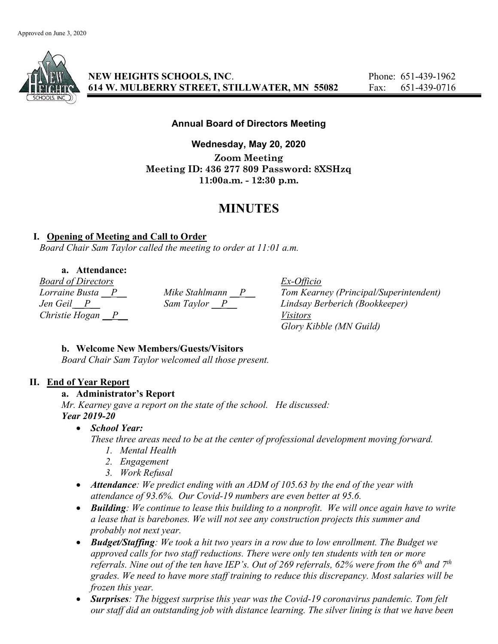

NEW HEIGHTS SCHOOLS, INC. Phone: 651-439-1962 614 W. MULBERRY STREET, STILLWATER, MN 55082 Fax: 651-439-0716

## Annual Board of Directors Meeting

Wednesday, May 20, 2020 Zoom Meeting Meeting ID: 436 277 809 Password: 8XSHzq 11:00a.m. - 12:30 p.m.

# MINUTES

#### I. Opening of Meeting and Call to Order

Board Chair Sam Taylor called the meeting to order at 11:01 a.m.

#### a. Attendance:

Board of Directors Ex-Officio Christie Hogan  $\overline{P}$  Visitors

Mike Stahlmann  $\boxed{P}$  Tom Kearney (Principal/Superintendent) Jen Geil P Sam Taylor P Lindsay Berberich (Bookkeeper) Glory Kibble (MN Guild)

# b. Welcome New Members/Guests/Visitors

Board Chair Sam Taylor welcomed all those present.

# II. End of Year Report

#### a. Administrator's Report

Mr. Kearney gave a report on the state of the school. He discussed: Year 2019-20

- School Year:
	- These three areas need to be at the center of professional development moving forward.
		- 1. Mental Health
		- 2. Engagement
		- 3. Work Refusal
- Attendance: We predict ending with an ADM of 105.63 by the end of the year with attendance of 93.6%. Our Covid-19 numbers are even better at 95.6.
- Building: We continue to lease this building to a nonprofit. We will once again have to write a lease that is barebones. We will not see any construction projects this summer and probably not next year.
- Budget/Staffing: We took a hit two vears in a row due to low enrollment. The Budget we approved calls for two staff reductions. There were only ten students with ten or more referrals. Nine out of the ten have IEP's. Out of 269 referrals, 62% were from the 6<sup>th</sup> and 7<sup>th</sup> grades. We need to have more staff training to reduce this discrepancy. Most salaries will be frozen this year.
- Surprises: The biggest surprise this year was the Covid-19 coronavirus pandemic. Tom felt our staff did an outstanding job with distance learning. The silver lining is that we have been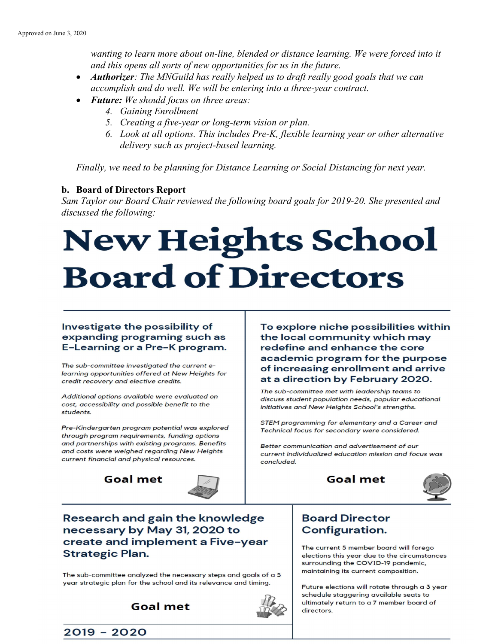wanting to learn more about on-line, blended or distance learning. We were forced into it and this opens all sorts of new opportunities for us in the future.

- Authorizer: The MNGuild has really helped us to draft really good goals that we can accomplish and do well. We will be entering into a three-year contract.
- Future: We should focus on three areas:
	- 4. Gaining Enrollment
	- 5. Creating a five-year or long-term vision or plan.
	- 6. Look at all options. This includes Pre-K, flexible learning year or other alternative delivery such as project-based learning.

Finally, we need to be planning for Distance Learning or Social Distancing for next year.

#### b. Board of Directors Report

Sam Taylor our Board Chair reviewed the following board goals for 2019-20. She presented and discussed the following:

# **New Heights School Board of Directors**

#### Investigate the possibility of expanding programing such as E-Learning or a Pre-K program.

The sub-committee investigated the current elearning opportunities offered at New Heights for credit recovery and elective credits.

Additional options available were evaluated on cost, accessibility and possible benefit to the students.

Pre-Kindergarten program potential was explored through program requirements, funding options and partnerships with existing programs. Benefits and costs were weighed regarding New Heights current financial and physical resources.

**Goal met** 



To explore niche possibilities within the local community which may redefine and enhance the core academic program for the purpose of increasing enrollment and arrive at a direction by February 2020.

The sub-committee met with leadership teams to discuss student population needs, popular educational initiatives and New Heights School's strengths.

STEM programming for elementary and a Career and Technical focus for secondary were considered.

Better communication and advertisement of our current individualized education mission and focus was concluded.

**Goal met** 



Research and gain the knowledge necessary by May 31, 2020 to create and implement a Five-year **Strategic Plan.** 

The sub-committee analyzed the necessary steps and goals of a 5 year strategic plan for the school and its relevance and timing.

**Goal met** 



# **Board Director Configuration.**

The current 5 member board will forego elections this year due to the circumstances surrounding the COVID-19 pandemic, maintaining its current composition.

Future elections will rotate through a 3 year schedule staggering available seats to ultimately return to a 7 member board of directors.

# $2019 - 2020$